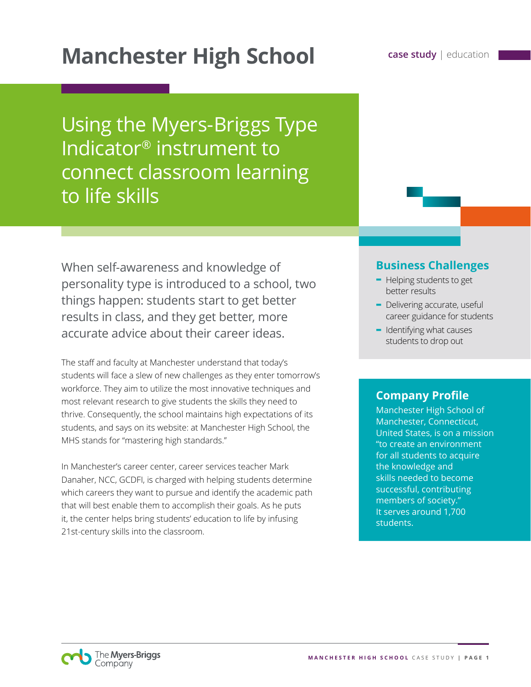# **Manchester High School Case study | education**

Using the Myers-Briggs Type Indicator® instrument to connect classroom learning to life skills

When self-awareness and knowledge of personality type is introduced to a school, two things happen: students start to get better results in class, and they get better, more accurate advice about their career ideas.

The staff and faculty at Manchester understand that today's students will face a slew of new challenges as they enter tomorrow's workforce. They aim to utilize the most innovative techniques and most relevant research to give students the skills they need to thrive. Consequently, the school maintains high expectations of its students, and says on its website: at Manchester High School, the MHS stands for "mastering high standards."

In Manchester's career center, career services teacher Mark Danaher, NCC, GCDFI, is charged with helping students determine which careers they want to pursue and identify the academic path that will best enable them to accomplish their goals. As he puts it, the center helps bring students' education to life by infusing 21st-century skills into the classroom.

### **Business Challenges**

- **-** Helping students to get better results
- **-** Delivering accurate, useful career guidance for students
- **-** Identifying what causes students to drop out

### **Company Profile**

Manchester High School of Manchester, Connecticut, United States, is on a mission "to create an environment for all students to acquire the knowledge and skills needed to become successful, contributing members of society." It serves around 1,700 students.

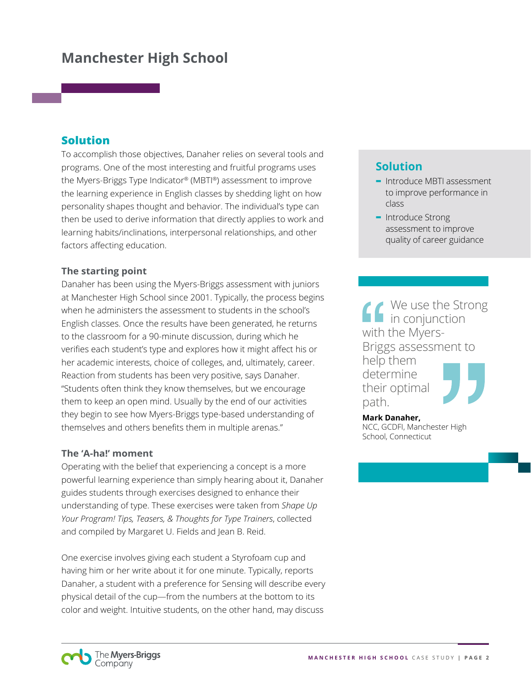#### **Solution**

To accomplish those objectives, Danaher relies on several tools and programs. One of the most interesting and fruitful programs uses the Myers-Briggs Type Indicator® (MBTI®) assessment to improve the learning experience in English classes by shedding light on how personality shapes thought and behavior. The individual's type can then be used to derive information that directly applies to work and learning habits/inclinations, interpersonal relationships, and other factors affecting education.

#### **The starting point**

Danaher has been using the Myers-Briggs assessment with juniors at Manchester High School since 2001. Typically, the process begins when he administers the assessment to students in the school's English classes. Once the results have been generated, he returns to the classroom for a 90-minute discussion, during which he verifies each student's type and explores how it might affect his or her academic interests, choice of colleges, and, ultimately, career. Reaction from students has been very positive, says Danaher. "Students often think they know themselves, but we encourage them to keep an open mind. Usually by the end of our activities they begin to see how Myers-Briggs type-based understanding of themselves and others benefits them in multiple arenas."

#### **The 'A-ha!' moment**

Operating with the belief that experiencing a concept is a more powerful learning experience than simply hearing about it, Danaher guides students through exercises designed to enhance their understanding of type. These exercises were taken from *Shape Up Your Program! Tips, Teasers, & Thoughts for Type Trainers*, collected and compiled by Margaret U. Fields and Jean B. Reid.

One exercise involves giving each student a Styrofoam cup and having him or her write about it for one minute. Typically, reports Danaher, a student with a preference for Sensing will describe every physical detail of the cup—from the numbers at the bottom to its color and weight. Intuitive students, on the other hand, may discuss

### **Solution**

- **-** Introduce MBTI assessment to improve performance in class
- **-** Introduce Strong assessment to improve quality of career guidance

We use the Strong in conjunction with the Myers-Briggs assessment to help them determine their optimal path.

**Mark Danaher,**  NCC, GCDFI, Manchester High School, Connecticut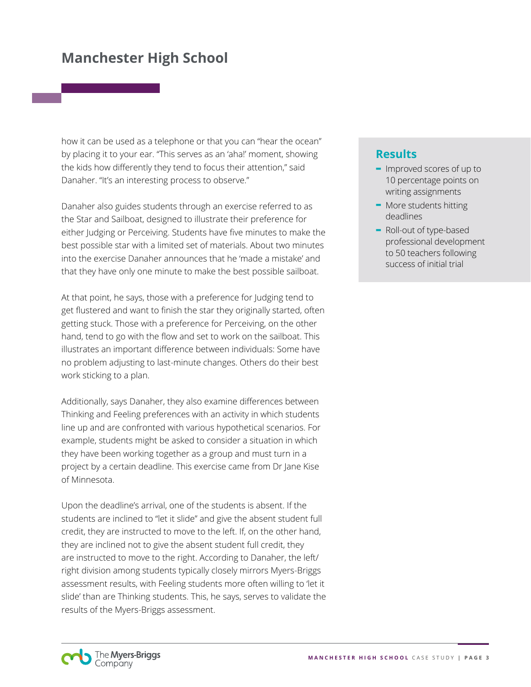how it can be used as a telephone or that you can "hear the ocean" by placing it to your ear. "This serves as an 'aha!' moment, showing the kids how differently they tend to focus their attention," said Danaher. "It's an interesting process to observe."

Danaher also guides students through an exercise referred to as the Star and Sailboat, designed to illustrate their preference for either Judging or Perceiving. Students have five minutes to make the best possible star with a limited set of materials. About two minutes into the exercise Danaher announces that he 'made a mistake' and that they have only one minute to make the best possible sailboat.

At that point, he says, those with a preference for Judging tend to get flustered and want to finish the star they originally started, often getting stuck. Those with a preference for Perceiving, on the other hand, tend to go with the flow and set to work on the sailboat. This illustrates an important difference between individuals: Some have no problem adjusting to last-minute changes. Others do their best work sticking to a plan.

Additionally, says Danaher, they also examine differences between Thinking and Feeling preferences with an activity in which students line up and are confronted with various hypothetical scenarios. For example, students might be asked to consider a situation in which they have been working together as a group and must turn in a project by a certain deadline. This exercise came from Dr Jane Kise of Minnesota.

Upon the deadline's arrival, one of the students is absent. If the students are inclined to "let it slide" and give the absent student full credit, they are instructed to move to the left. If, on the other hand, they are inclined not to give the absent student full credit, they are instructed to move to the right. According to Danaher, the left/ right division among students typically closely mirrors Myers-Briggs assessment results, with Feeling students more often willing to 'let it slide' than are Thinking students. This, he says, serves to validate the results of the Myers-Briggs assessment.

#### **Results**

- **-** Improved scores of up to 10 percentage points on writing assignments
- **-** More students hitting deadlines
- **-** Roll-out of type-based professional development to 50 teachers following success of initial trial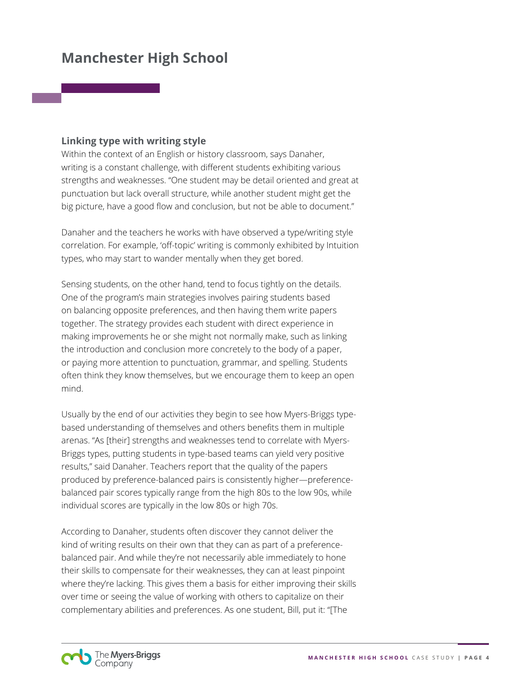#### **Linking type with writing style**

Within the context of an English or history classroom, says Danaher, writing is a constant challenge, with different students exhibiting various strengths and weaknesses. "One student may be detail oriented and great at punctuation but lack overall structure, while another student might get the big picture, have a good flow and conclusion, but not be able to document."

Danaher and the teachers he works with have observed a type/writing style correlation. For example, 'off-topic' writing is commonly exhibited by Intuition types, who may start to wander mentally when they get bored.

Sensing students, on the other hand, tend to focus tightly on the details. One of the program's main strategies involves pairing students based on balancing opposite preferences, and then having them write papers together. The strategy provides each student with direct experience in making improvements he or she might not normally make, such as linking the introduction and conclusion more concretely to the body of a paper, or paying more attention to punctuation, grammar, and spelling. Students often think they know themselves, but we encourage them to keep an open mind.

Usually by the end of our activities they begin to see how Myers-Briggs typebased understanding of themselves and others benefits them in multiple arenas. "As [their] strengths and weaknesses tend to correlate with Myers-Briggs types, putting students in type-based teams can yield very positive results," said Danaher. Teachers report that the quality of the papers produced by preference-balanced pairs is consistently higher—preferencebalanced pair scores typically range from the high 80s to the low 90s, while individual scores are typically in the low 80s or high 70s.

According to Danaher, students often discover they cannot deliver the kind of writing results on their own that they can as part of a preferencebalanced pair. And while they're not necessarily able immediately to hone their skills to compensate for their weaknesses, they can at least pinpoint where they're lacking. This gives them a basis for either improving their skills over time or seeing the value of working with others to capitalize on their complementary abilities and preferences. As one student, Bill, put it: "[The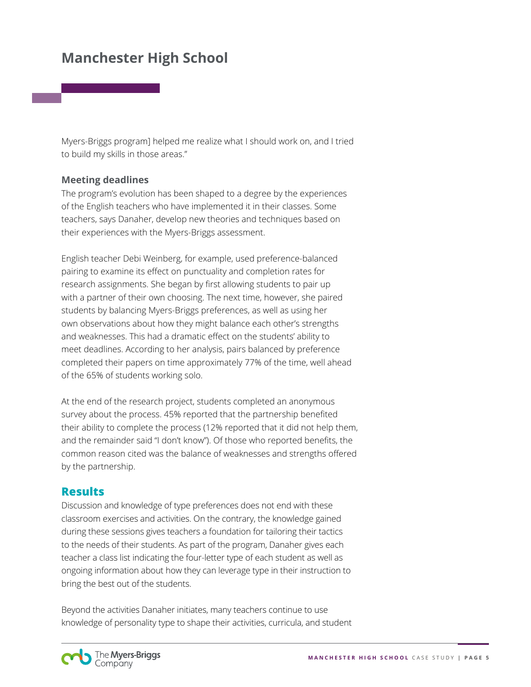Myers-Briggs program] helped me realize what I should work on, and I tried to build my skills in those areas."

#### **Meeting deadlines**

The program's evolution has been shaped to a degree by the experiences of the English teachers who have implemented it in their classes. Some teachers, says Danaher, develop new theories and techniques based on their experiences with the Myers-Briggs assessment.

English teacher Debi Weinberg, for example, used preference-balanced pairing to examine its effect on punctuality and completion rates for research assignments. She began by first allowing students to pair up with a partner of their own choosing. The next time, however, she paired students by balancing Myers-Briggs preferences, as well as using her own observations about how they might balance each other's strengths and weaknesses. This had a dramatic effect on the students' ability to meet deadlines. According to her analysis, pairs balanced by preference completed their papers on time approximately 77% of the time, well ahead of the 65% of students working solo.

At the end of the research project, students completed an anonymous survey about the process. 45% reported that the partnership benefited their ability to complete the process (12% reported that it did not help them, and the remainder said "I don't know"). Of those who reported benefits, the common reason cited was the balance of weaknesses and strengths offered by the partnership.

#### **Results**

Discussion and knowledge of type preferences does not end with these classroom exercises and activities. On the contrary, the knowledge gained during these sessions gives teachers a foundation for tailoring their tactics to the needs of their students. As part of the program, Danaher gives each teacher a class list indicating the four-letter type of each student as well as ongoing information about how they can leverage type in their instruction to bring the best out of the students.

Beyond the activities Danaher initiates, many teachers continue to use knowledge of personality type to shape their activities, curricula, and student

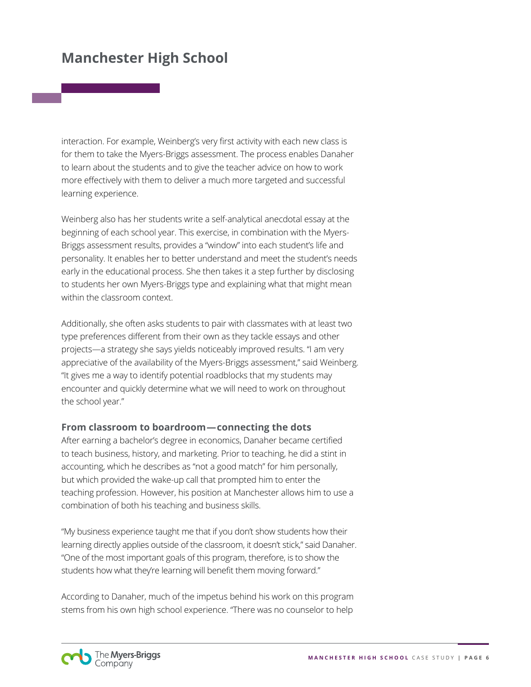interaction. For example, Weinberg's very first activity with each new class is for them to take the Myers-Briggs assessment. The process enables Danaher to learn about the students and to give the teacher advice on how to work more effectively with them to deliver a much more targeted and successful learning experience.

Weinberg also has her students write a self-analytical anecdotal essay at the beginning of each school year. This exercise, in combination with the Myers-Briggs assessment results, provides a "window" into each student's life and personality. It enables her to better understand and meet the student's needs early in the educational process. She then takes it a step further by disclosing to students her own Myers-Briggs type and explaining what that might mean within the classroom context.

Additionally, she often asks students to pair with classmates with at least two type preferences different from their own as they tackle essays and other projects—a strategy she says yields noticeably improved results. "I am very appreciative of the availability of the Myers-Briggs assessment," said Weinberg. "It gives me a way to identify potential roadblocks that my students may encounter and quickly determine what we will need to work on throughout the school year."

#### **From classroom to boardroom—connecting the dots**

After earning a bachelor's degree in economics, Danaher became certified to teach business, history, and marketing. Prior to teaching, he did a stint in accounting, which he describes as "not a good match" for him personally, but which provided the wake-up call that prompted him to enter the teaching profession. However, his position at Manchester allows him to use a combination of both his teaching and business skills.

"My business experience taught me that if you don't show students how their learning directly applies outside of the classroom, it doesn't stick," said Danaher. "One of the most important goals of this program, therefore, is to show the students how what they're learning will benefit them moving forward."

According to Danaher, much of the impetus behind his work on this program stems from his own high school experience. "There was no counselor to help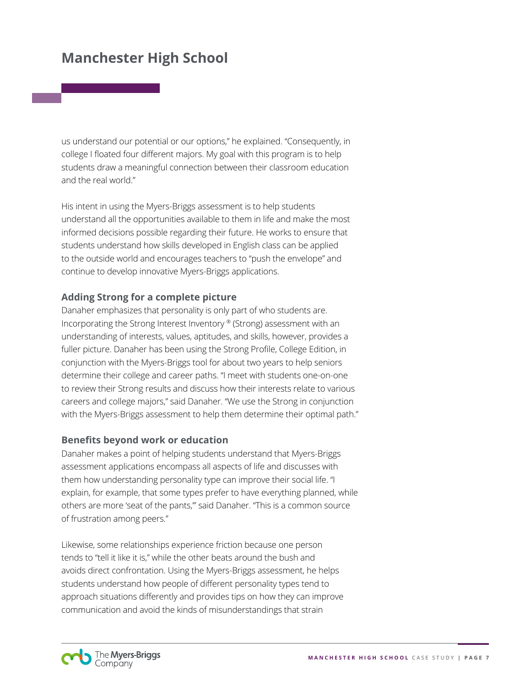us understand our potential or our options," he explained. "Consequently, in college I floated four different majors. My goal with this program is to help students draw a meaningful connection between their classroom education and the real world."

His intent in using the Myers-Briggs assessment is to help students understand all the opportunities available to them in life and make the most informed decisions possible regarding their future. He works to ensure that students understand how skills developed in English class can be applied to the outside world and encourages teachers to "push the envelope" and continue to develop innovative Myers-Briggs applications.

#### **Adding Strong for a complete picture**

Danaher emphasizes that personality is only part of who students are. Incorporating the Strong Interest Inventory ® (Strong) assessment with an understanding of interests, values, aptitudes, and skills, however, provides a fuller picture. Danaher has been using the Strong Profile, College Edition, in conjunction with the Myers-Briggs tool for about two years to help seniors determine their college and career paths. "I meet with students one-on-one to review their Strong results and discuss how their interests relate to various careers and college majors," said Danaher. "We use the Strong in conjunction with the Myers-Briggs assessment to help them determine their optimal path."

#### **Benefits beyond work or education**

Danaher makes a point of helping students understand that Myers-Briggs assessment applications encompass all aspects of life and discusses with them how understanding personality type can improve their social life. "I explain, for example, that some types prefer to have everything planned, while others are more 'seat of the pants,'" said Danaher. "This is a common source of frustration among peers."

Likewise, some relationships experience friction because one person tends to "tell it like it is," while the other beats around the bush and avoids direct confrontation. Using the Myers-Briggs assessment, he helps students understand how people of different personality types tend to approach situations differently and provides tips on how they can improve communication and avoid the kinds of misunderstandings that strain

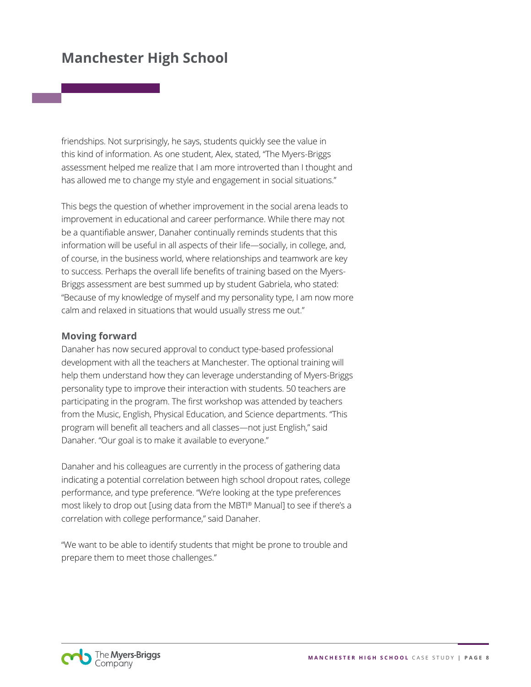friendships. Not surprisingly, he says, students quickly see the value in this kind of information. As one student, Alex, stated, "The Myers-Briggs assessment helped me realize that I am more introverted than I thought and has allowed me to change my style and engagement in social situations."

This begs the question of whether improvement in the social arena leads to improvement in educational and career performance. While there may not be a quantifiable answer, Danaher continually reminds students that this information will be useful in all aspects of their life—socially, in college, and, of course, in the business world, where relationships and teamwork are key to success. Perhaps the overall life benefits of training based on the Myers-Briggs assessment are best summed up by student Gabriela, who stated: "Because of my knowledge of myself and my personality type, I am now more calm and relaxed in situations that would usually stress me out."

#### **Moving forward**

Danaher has now secured approval to conduct type-based professional development with all the teachers at Manchester. The optional training will help them understand how they can leverage understanding of Myers-Briggs personality type to improve their interaction with students. 50 teachers are participating in the program. The first workshop was attended by teachers from the Music, English, Physical Education, and Science departments. "This program will benefit all teachers and all classes—not just English," said Danaher. "Our goal is to make it available to everyone."

Danaher and his colleagues are currently in the process of gathering data indicating a potential correlation between high school dropout rates, college performance, and type preference. "We're looking at the type preferences most likely to drop out [using data from the MBTI® Manual] to see if there's a correlation with college performance," said Danaher.

"We want to be able to identify students that might be prone to trouble and prepare them to meet those challenges."

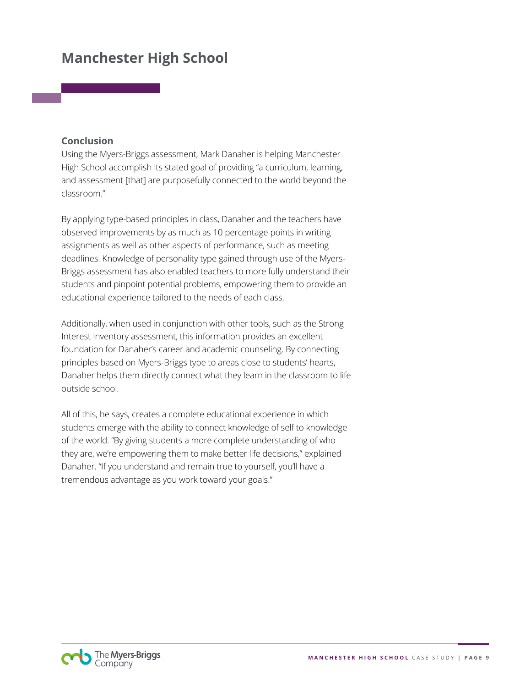#### **Conclusion**

Using the Myers-Briggs assessment, Mark Danaher is helping Manchester High School accomplish its stated goal of providing "a curriculum, learning, and assessment [that] are purposefully connected to the world beyond the classroom."

By applying type-based principles in class, Danaher and the teachers have observed improvements by as much as 10 percentage points in writing assignments as well as other aspects of performance, such as meeting deadlines. Knowledge of personality type gained through use of the Myers-Briggs assessment has also enabled teachers to more fully understand their students and pinpoint potential problems, empowering them to provide an educational experience tailored to the needs of each class.

Additionally, when used in conjunction with other tools, such as the Strong Interest Inventory assessment, this information provides an excellent foundation for Danaher's career and academic counseling. By connecting principles based on Myers-Briggs type to areas close to students' hearts, Danaher helps them directly connect what they learn in the classroom to life outside school.

All of this, he says, creates a complete educational experience in which students emerge with the ability to connect knowledge of self to knowledge of the world. "By giving students a more complete understanding of who they are, we're empowering them to make better life decisions," explained Danaher. "If you understand and remain true to yourself, you'll have a tremendous advantage as you work toward your goals."